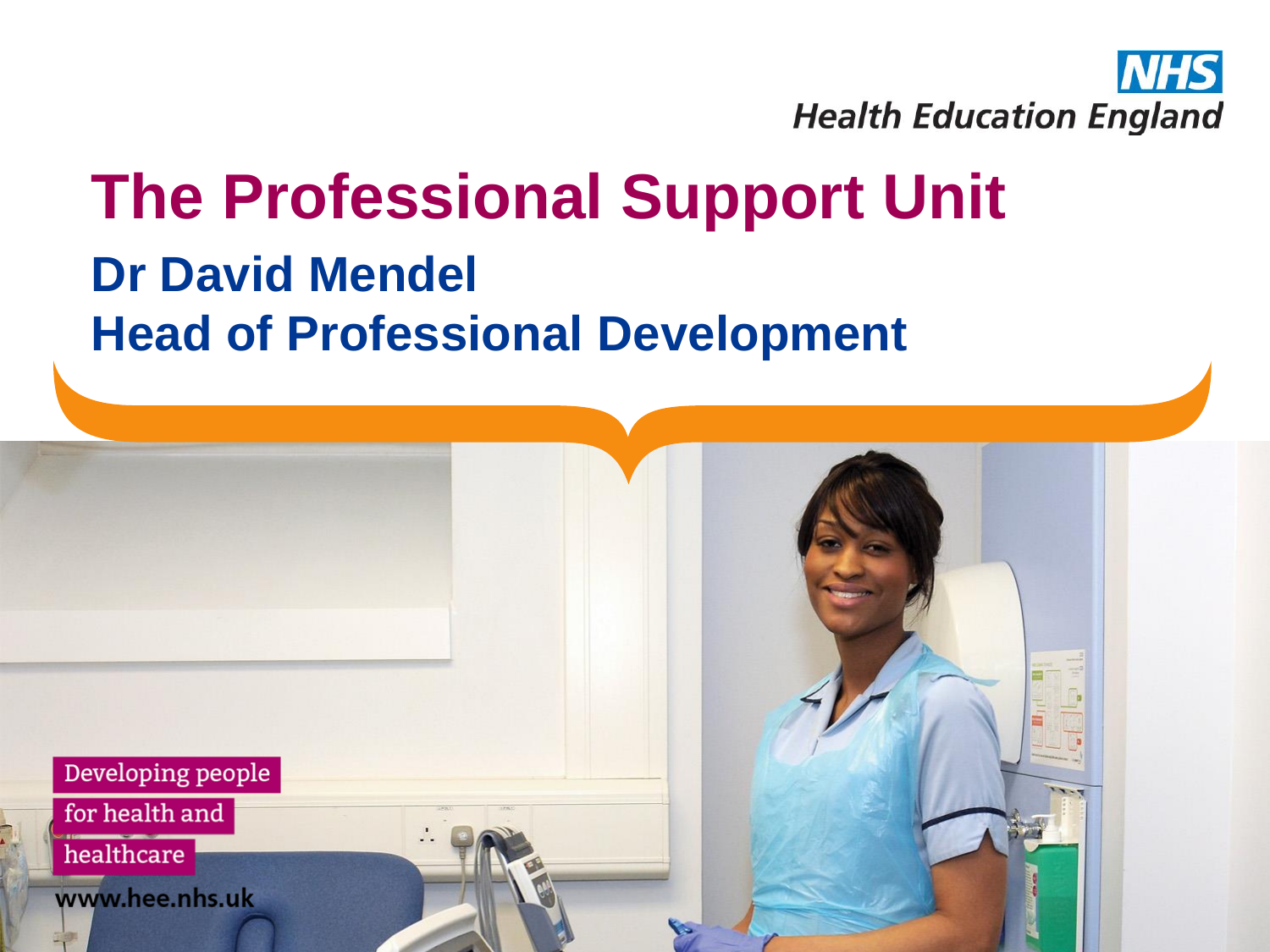

### **The Professional Support Unit Dr David Mendel Head of Professional Development**

Developing people

for health and

healthcare

www.hee.nhs.uk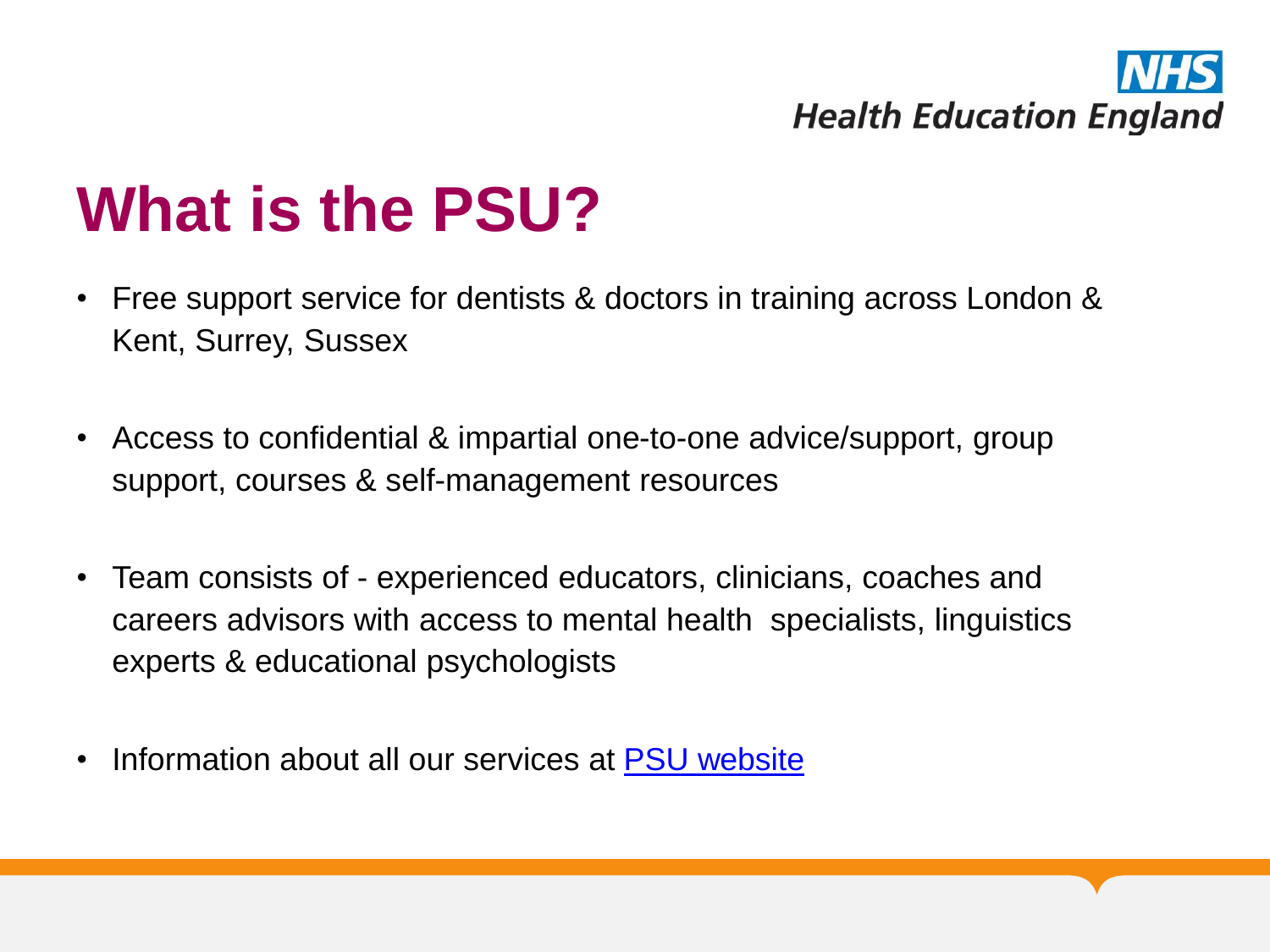# **Health Education England**

### **What is the PSU?**

- Free support service for dentists & doctors in training across London & Kent, Surrey, Sussex
- Access to confidential & impartial one-to-one advice/support, group support, courses & self-management resources
- Team consists of experienced educators, clinicians, coaches and careers advisors with access to mental health specialists, linguistics experts & educational psychologists
- Information about all our services at [PSU website](https://london.hee.nhs.uk/professional-development)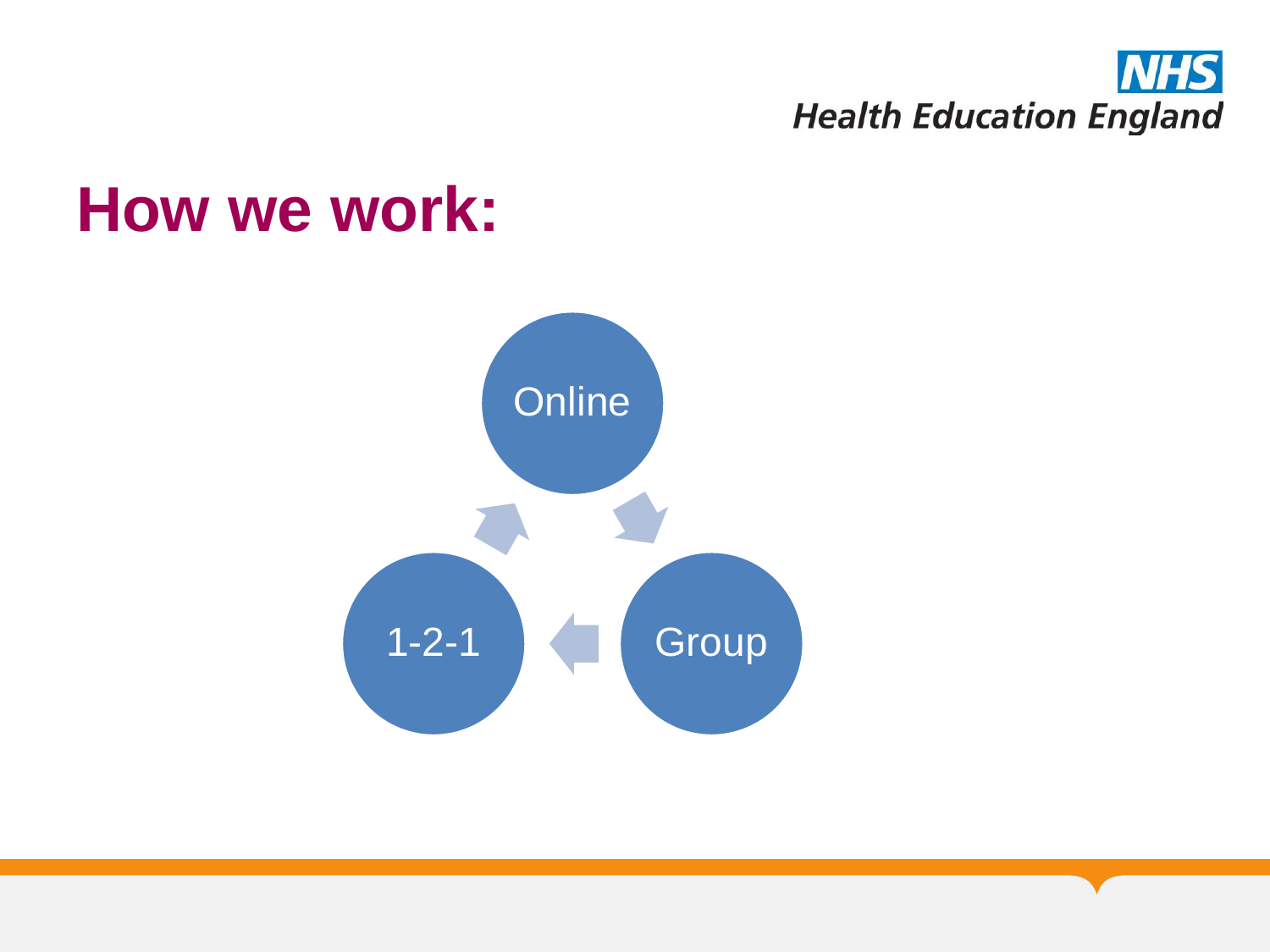

### **How we work:**

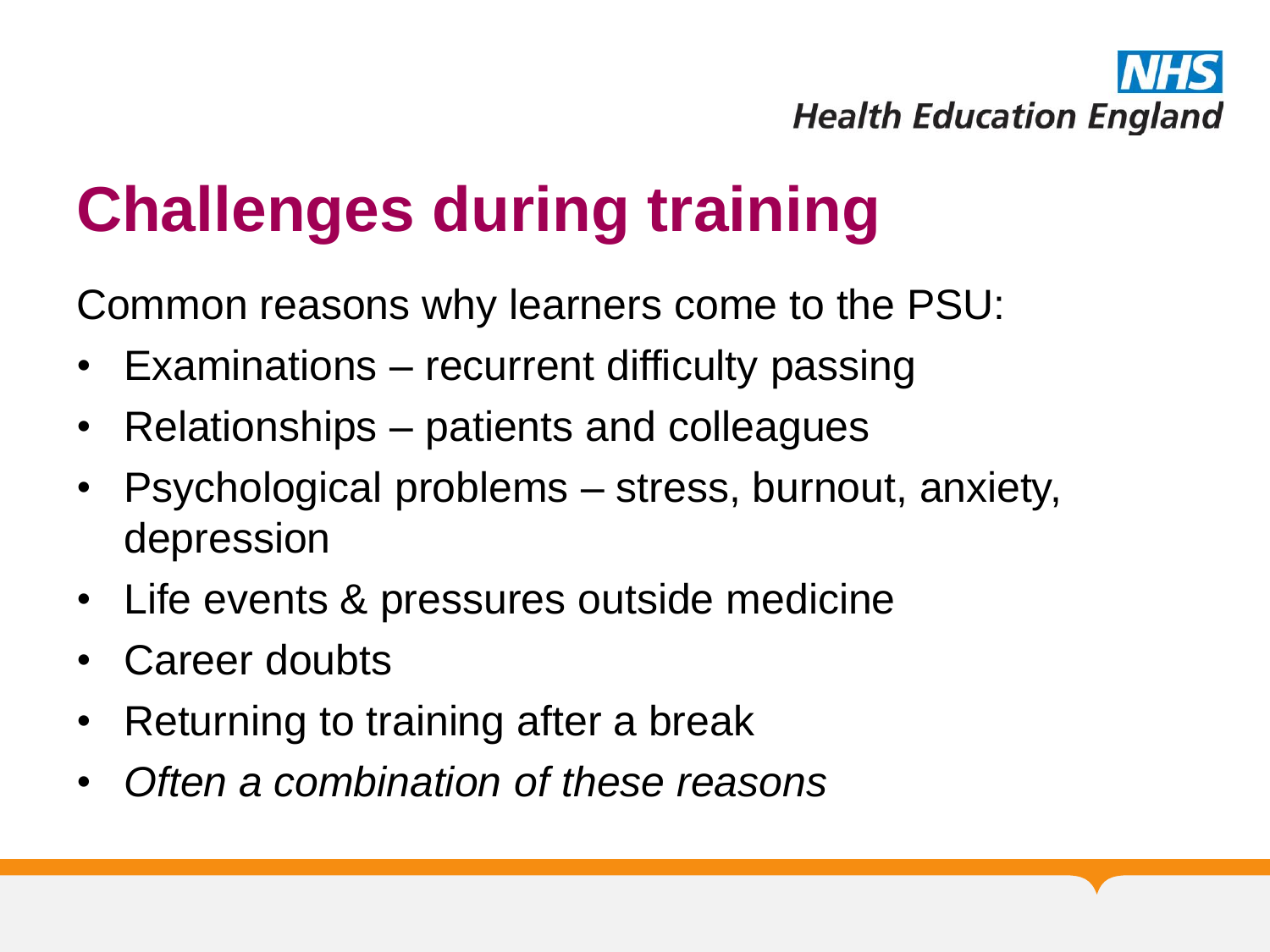

## **Challenges during training**

Common reasons why learners come to the PSU:

- Examinations recurrent difficulty passing
- Relationships patients and colleagues
- Psychological problems stress, burnout, anxiety, depression
- Life events & pressures outside medicine
- Career doubts
- Returning to training after a break
- *Often a combination of these reasons*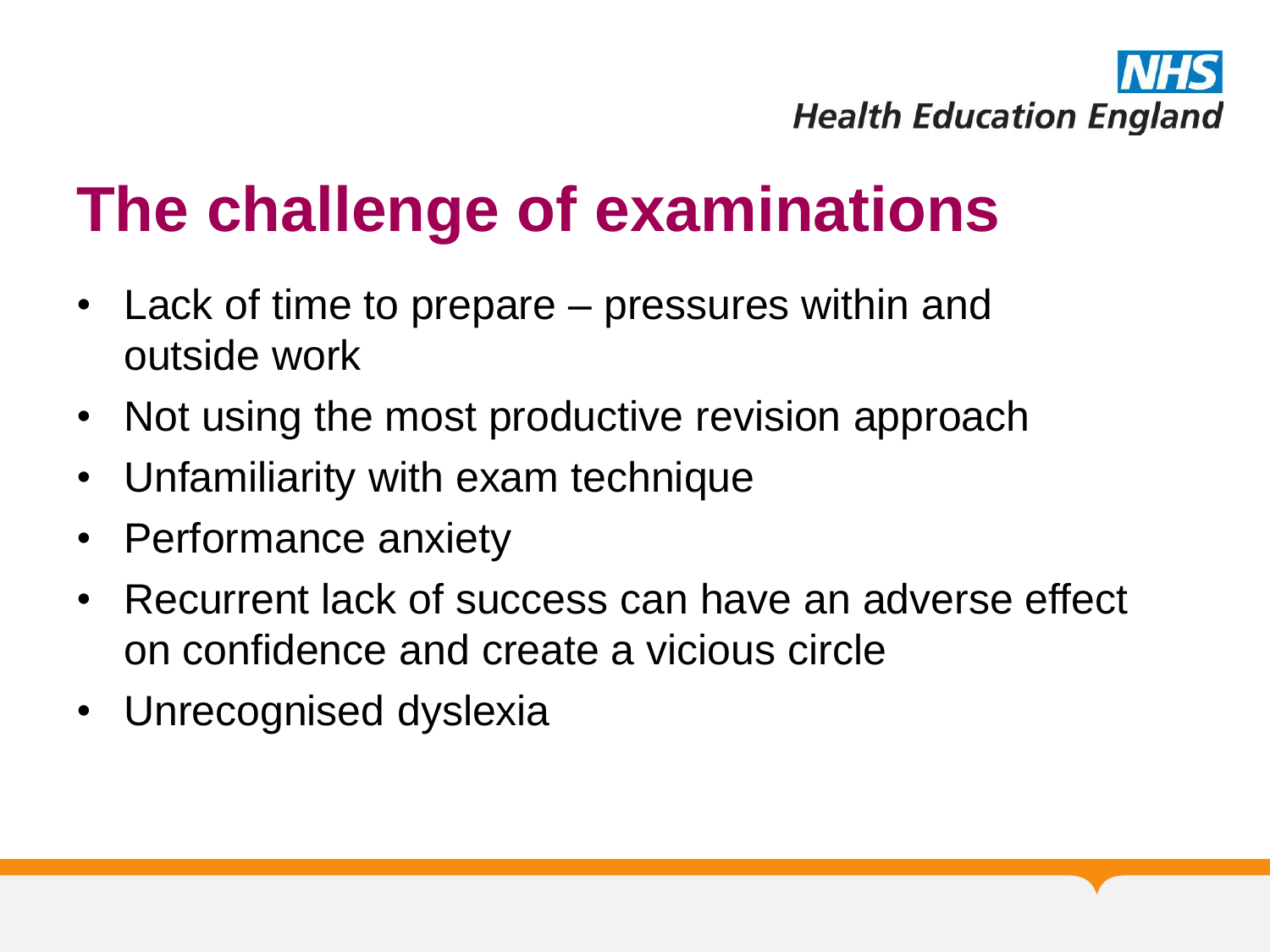

## **The challenge of examinations**

- Lack of time to prepare pressures within and outside work
- Not using the most productive revision approach
- Unfamiliarity with exam technique
- Performance anxiety
- Recurrent lack of success can have an adverse effect on confidence and create a vicious circle
- Unrecognised dyslexia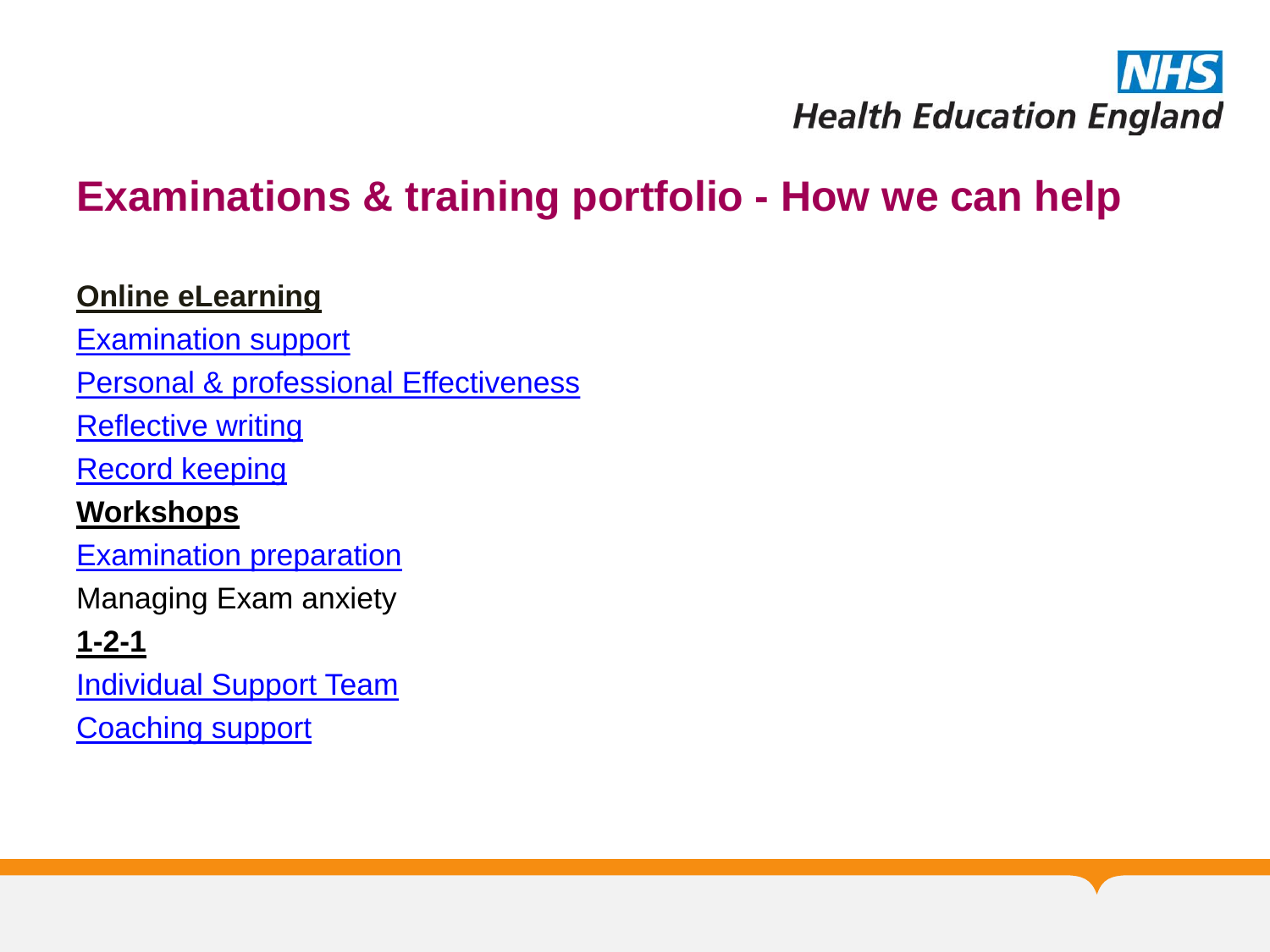

#### **Examinations & training portfolio - How we can help**

#### **Online eLearning**

[Examination support](https://london.hee.nhs.uk/examination-support-home)

[Personal & professional Effectiveness](https://london.hee.nhs.uk/personal-and-professional-effectiveness-contents-about-module)

**[Reflective writing](https://london.hee.nhs.uk/reflective-writing-home)** 

[Record keeping](https://london.hee.nhs.uk/record-keeping-home)

#### **Workshops**

[Examination preparation](https://london.hee.nhs.uk/professional-development/professional-support-unit/courses-and-conferences)

Managing Exam anxiety

**1-2-1**

[Individual Support Team](https://london.hee.nhs.uk/professional-development/individual-support-team)

**[Coaching support](https://london.hee.nhs.uk/professional-development/coaching-service)**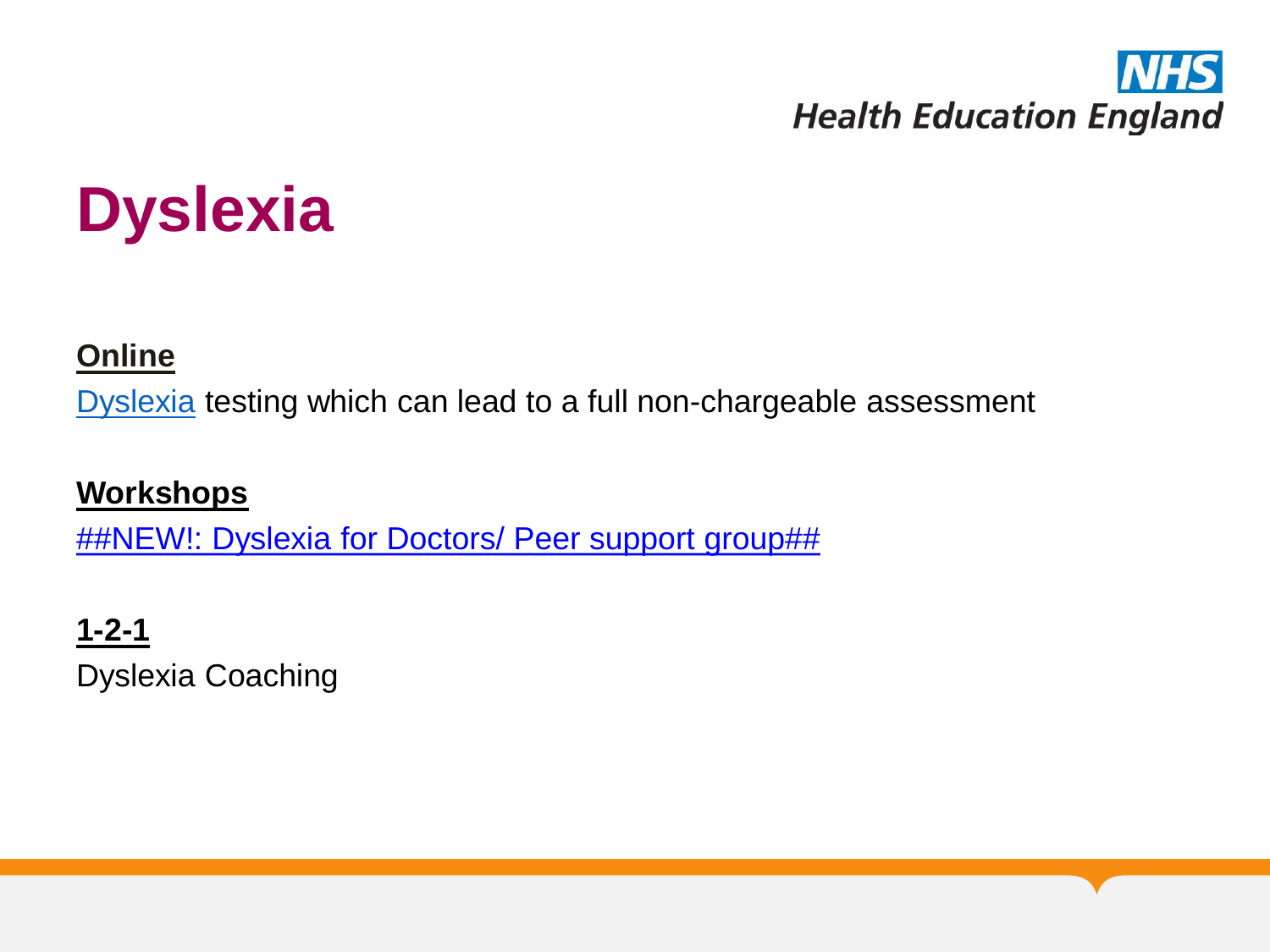

## **Dyslexia**

#### **[Online](https://london.hee.nhs.uk/professional-development/dyslexia)**

[Dyslexia](https://london.hee.nhs.uk/professional-development/dyslexia) testing which can lead to a full non-chargeable assessment

#### **Workshops**

[##NEW!: Dyslexia for Doctors/ Peer support group##](https://london.hee.nhs.uk/professional-development/courses-and-conferences)

#### **1-2-1**

Dyslexia Coaching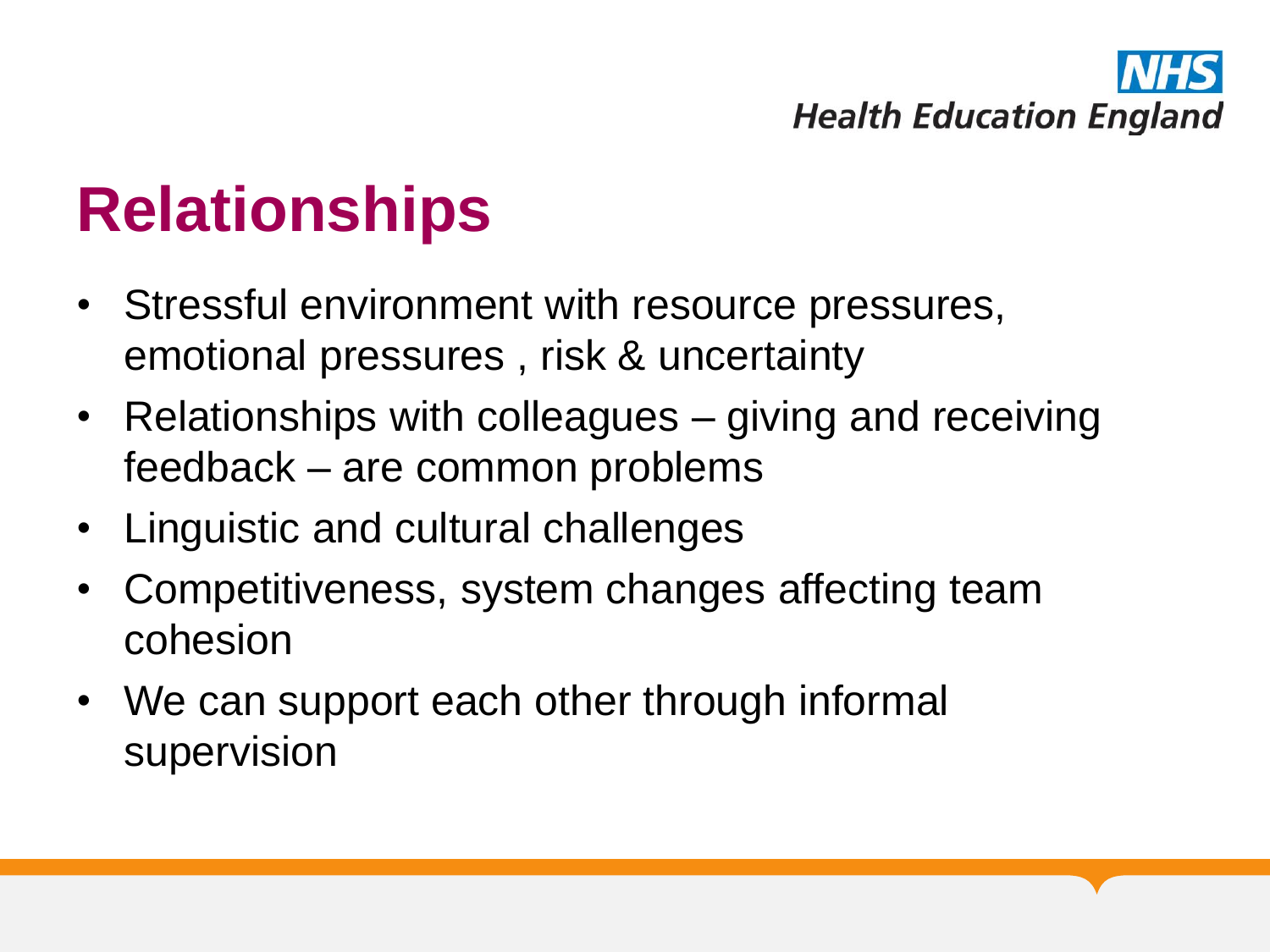# **Health Education England**

### **Relationships**

- Stressful environment with resource pressures, emotional pressures , risk & uncertainty
- Relationships with colleagues giving and receiving feedback – are common problems
- Linguistic and cultural challenges
- Competitiveness, system changes affecting team cohesion
- We can support each other through informal supervision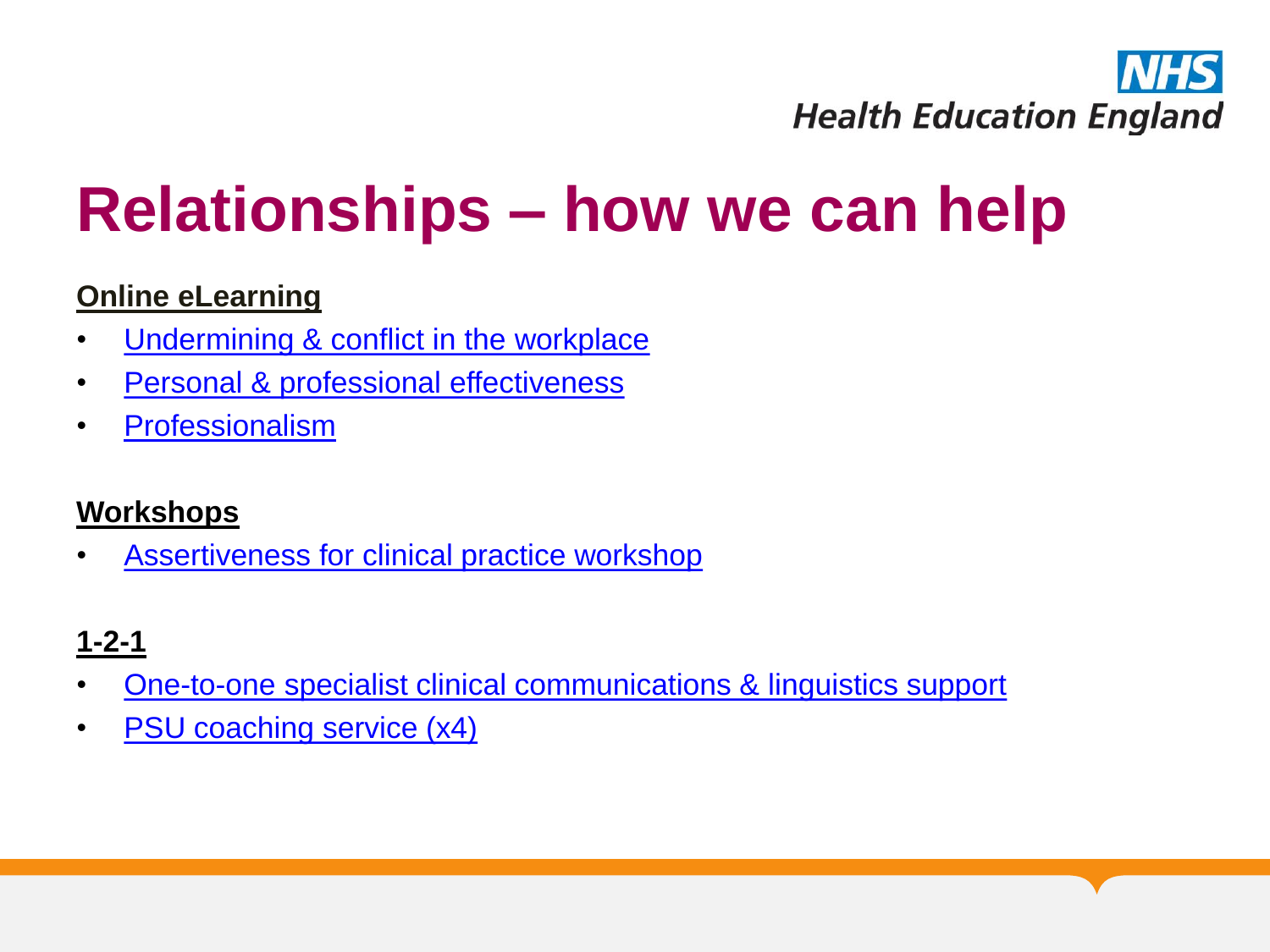

### **Relationships – how we can help**

#### **Online eLearning**

- [Undermining & conflict in the workplace](https://london.hee.nhs.uk/professional-development/professional-support-unit/e-learning-support-and-self-review-modules)
- [Personal & professional effectiveness](https://london.hee.nhs.uk/professional-development/professional-support-unit/e-learning-support-and-self-review-modules)
- [Professionalism](https://london.hee.nhs.uk/professional-development/professional-support-unit/e-learning-support-and-self-review-modules)

#### **Workshops**

[Assertiveness for clinical practice workshop](https://london.hee.nhs.uk/professional-development/professional-support-unit/courses-and-conferences)

#### **1-2-1**

- [One-to-one specialist clinical communications & linguistics support](https://london.hee.nhs.uk/professional-development/specialist-clinical-communication-linguistic-services)
- [PSU coaching service \(x4\)](https://london.hee.nhs.uk/professional-development/coaching-service)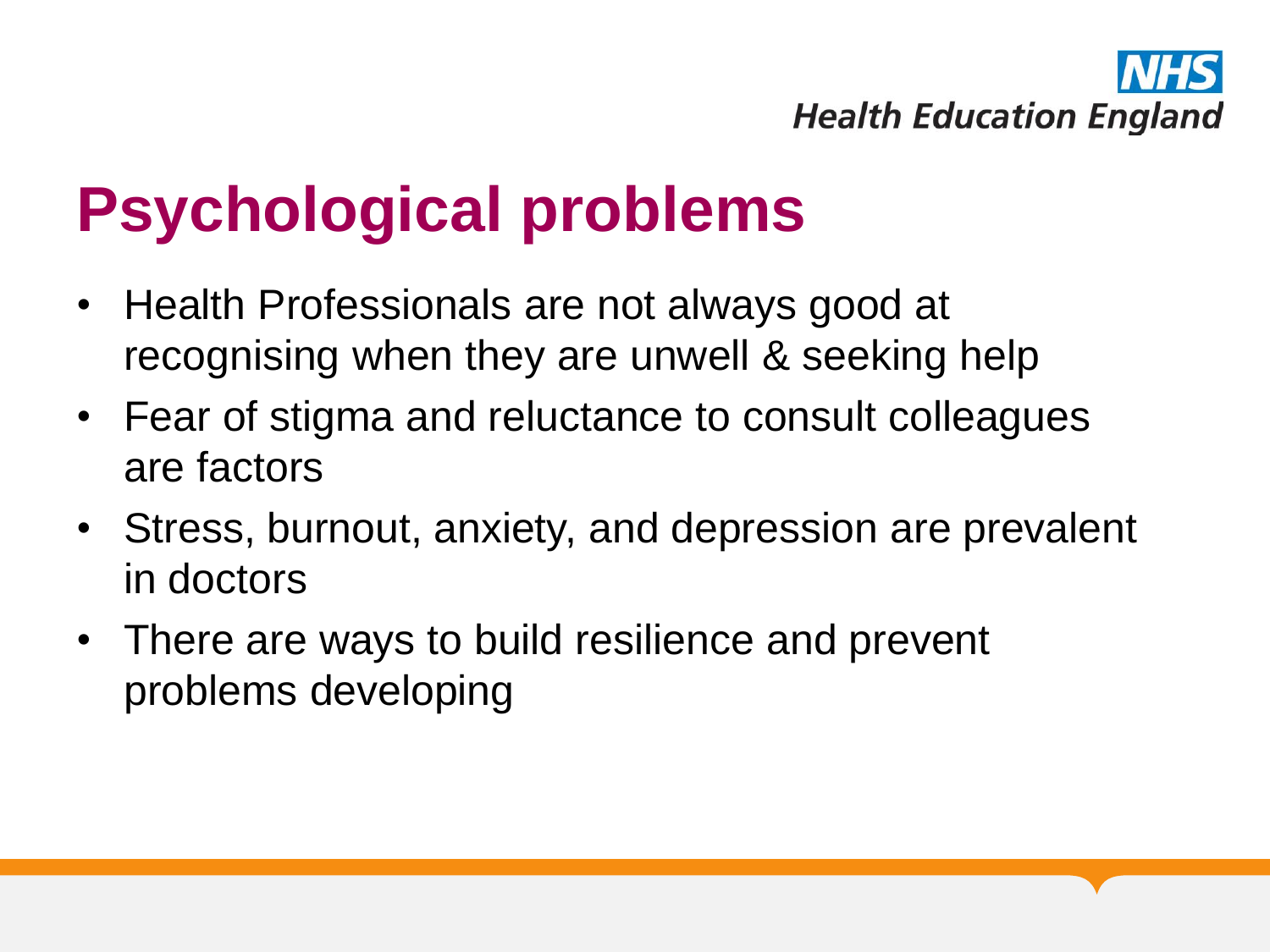

### **Psychological problems**

- Health Professionals are not always good at recognising when they are unwell & seeking help
- Fear of stigma and reluctance to consult colleagues are factors
- Stress, burnout, anxiety, and depression are prevalent in doctors
- There are ways to build resilience and prevent problems developing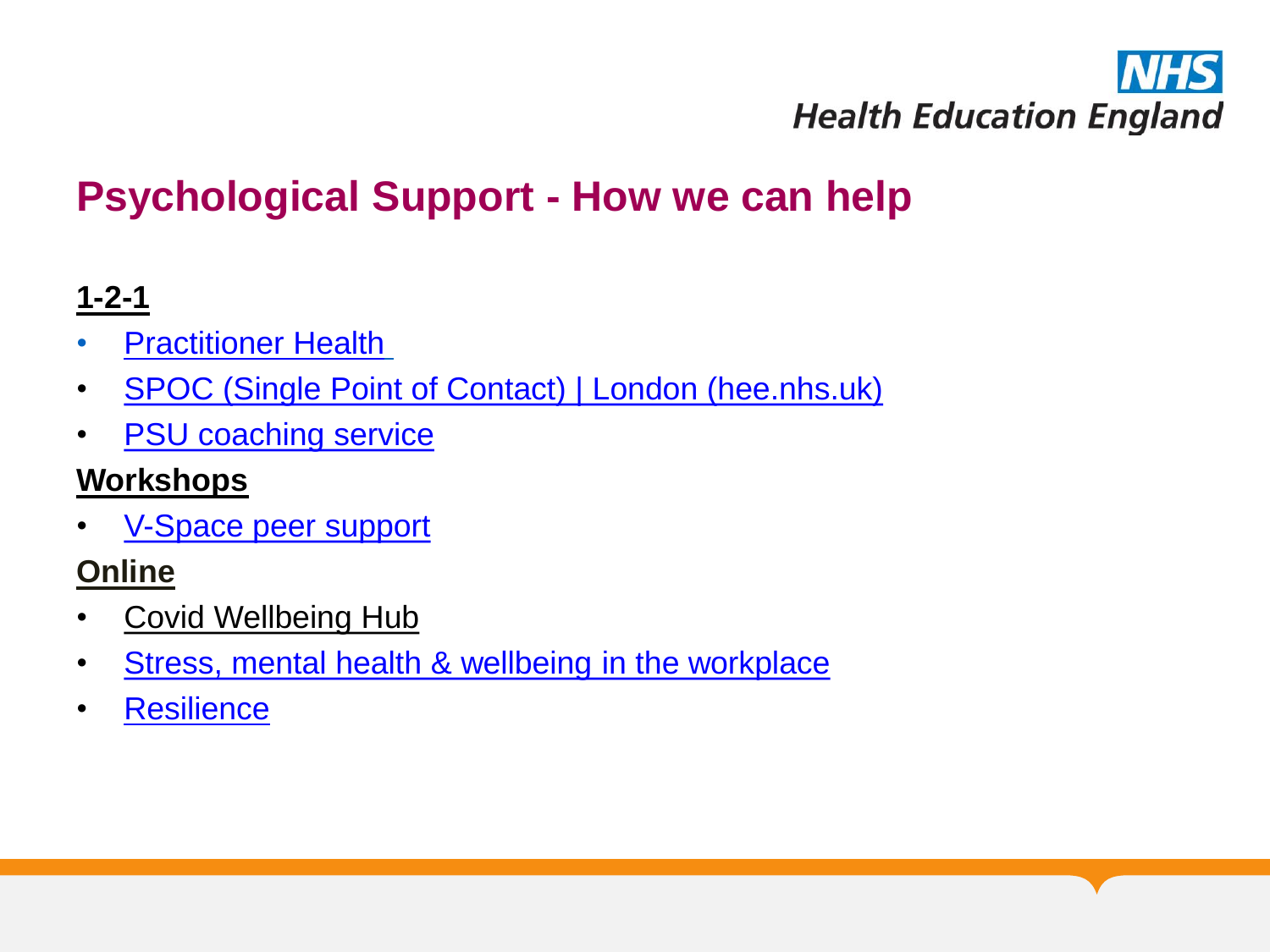

#### **Psychological Support - How we can help**

#### **1-2-1**

- **[Practitioner Health](https://london.hee.nhs.uk/professional-development/trainee-doctors-dentist-support-service-tddss)**
- [SPOC \(Single Point of Contact\) | London \(hee.nhs.uk\)](https://london.hee.nhs.uk/professional-development/spoc-single-point-contact)
- **[PSU coaching service](https://london.hee.nhs.uk/professional-development/coaching-service)**

#### **Workshops**

• [V-Space peer support](https://london.hee.nhs.uk/professional-development/professional-support-unit/courses-and-conferences)

#### **Online**

- [Covid Wellbeing Hub](https://london.hee.nhs.uk/covid-19-hub)
- [Stress, mental health & wellbeing in the workplace](https://london.hee.nhs.uk/professional-development/professional-support-unit/e-learning-support-and-self-review-modules)
- [Resilience](https://london.hee.nhs.uk/professional-development/professional-support-unit/e-learning-support-and-self-review-modules)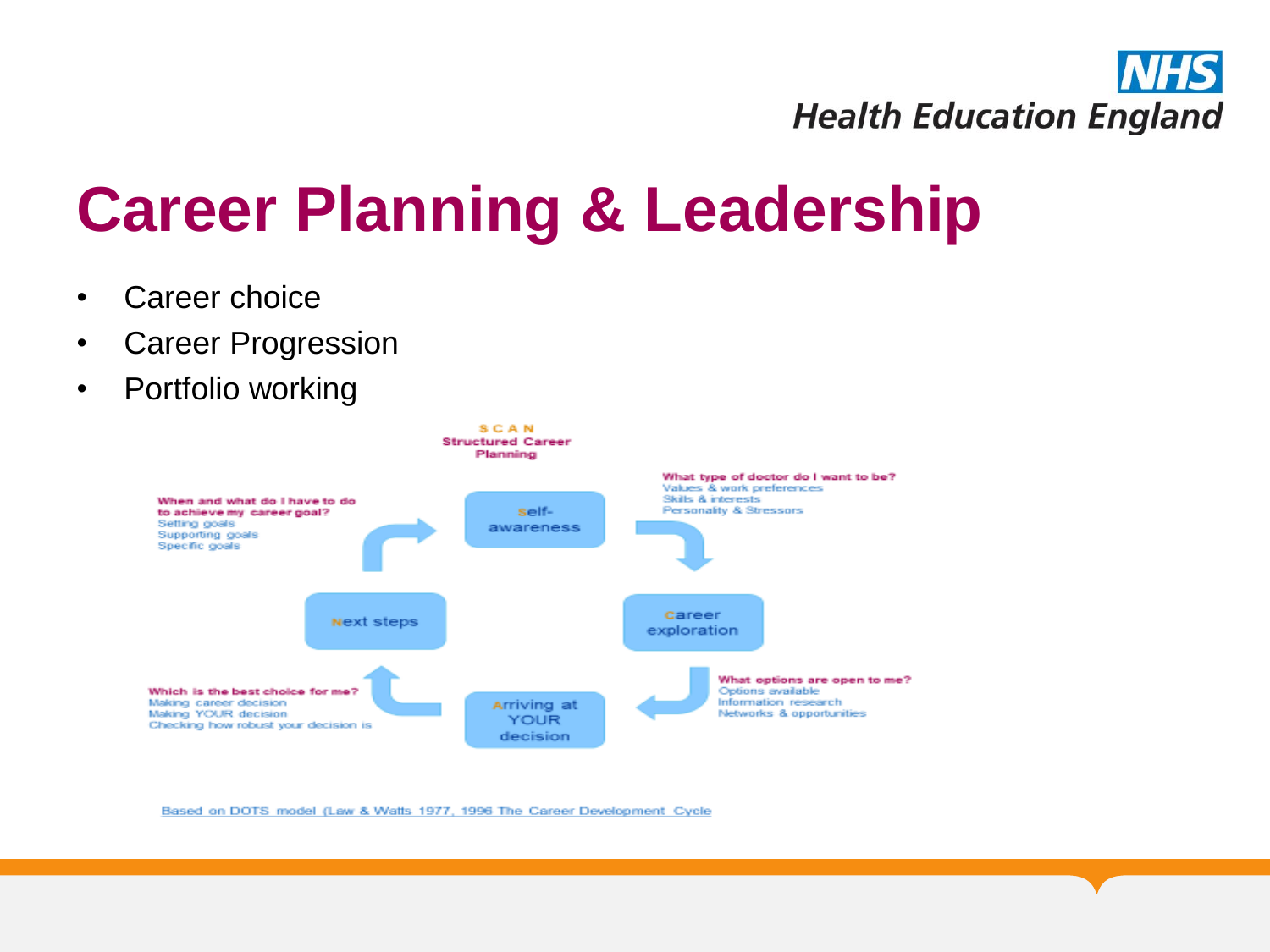

## **Career Planning & Leadership**

- Career choice
- Career Progression
- Portfolio working



Based on DOTS model (Law & Watts 1977, 1996 The Career Development Cycle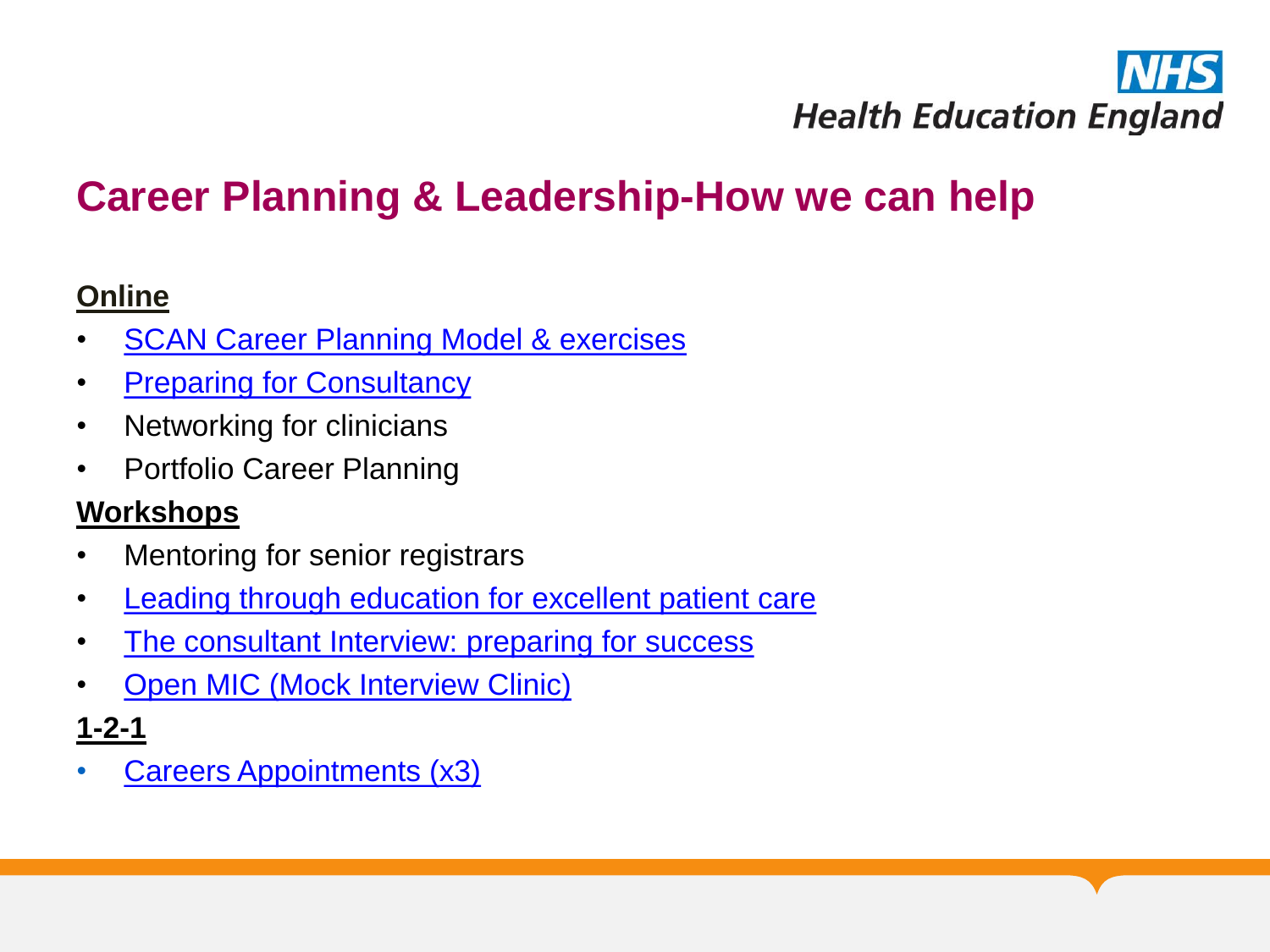

#### **Career Planning & Leadership-How we can help**

#### **Online**

- **[SCAN Career Planning Model & exercises](https://london.hee.nhs.uk/careers-unit)**
- [Preparing for Consultancy](https://london.hee.nhs.uk/careers-unit/doctors/preparation-consultancy)
- Networking for clinicians
- Portfolio Career Planning

#### **Workshops**

- Mentoring for senior registrars
- [Leading through education for excellent patient care](https://london.hee.nhs.uk/professional-development/courses-and-conferences)
- [The consultant Interview: preparing for success](https://london.hee.nhs.uk/professional-development/courses-and-conferences)
- [Open MIC \(Mock Interview Clinic\)](https://london.hee.nhs.uk/professional-development/professional-support-unit/courses-and-conferences)

#### **1-2-1**

**[Careers Appointments \(x3\)](https://london.hee.nhs.uk/professional-support-and-development/careers-unit/apply-careers-advicecontact-us/careers-application-form)**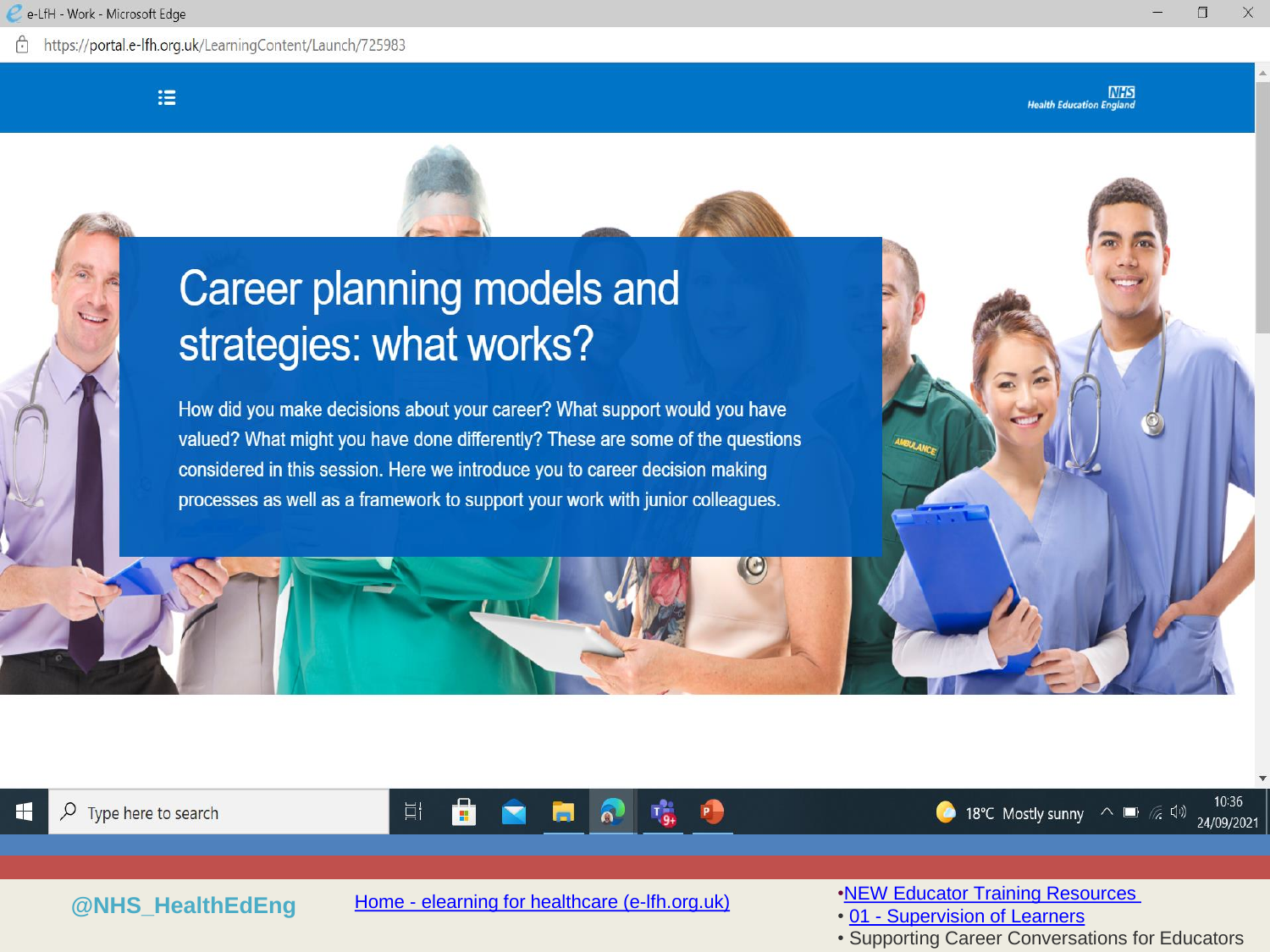https://portal.e-lfh.org.uk/LearningContent/Launch/725983

油

 $\Box$ 

X

### **Career planning models and** strategies: what works?

How did you make decisions about your career? What support would you have valued? What might you have done differently? These are some of the questions considered in this session. Here we introduce you to career decision making processes as well as a framework to support your work with junior colleagues.







**@NHS\_HealthEdEng** Home - elearning [for healthcare \(e-lfh.org.uk\)](https://www.e-lfh.org.uk/) [•NEW Educator Training Resources](https://portal.e-lfh.org.uk/MyElearning)

 $\Theta$ 

• 01 - [Supervision of Learners](https://portal.e-lfh.org.uk/MyElearning)

• Supporting Career Conversations for Educators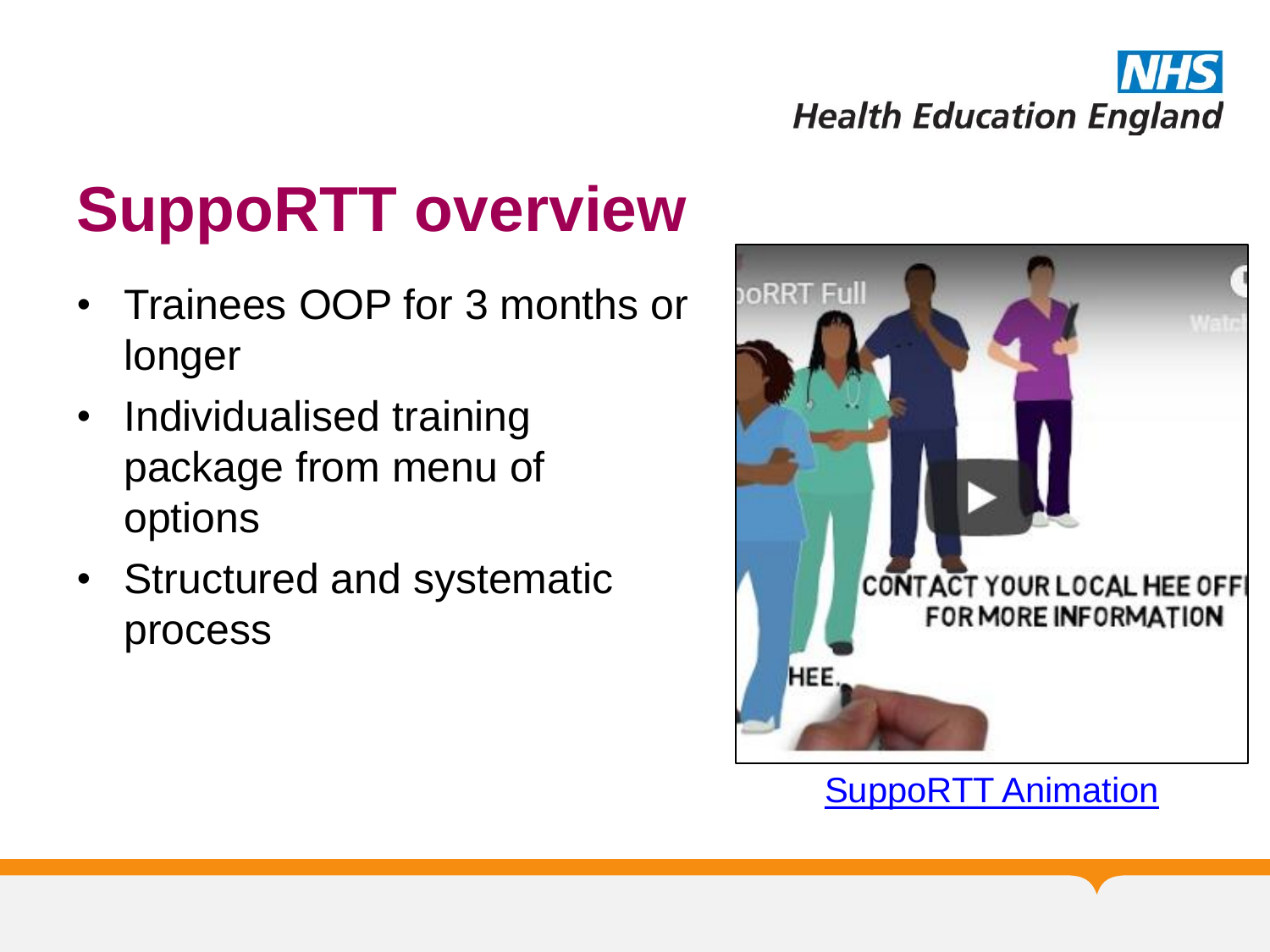

# **SuppoRTT overview**

- Trainees OOP for 3 months or longer
- Individualised training package from menu of options
- Structured and systematic process



**[SuppoRTT Animation](https://london.hee.nhs.uk/professional-development/supported-return-training)**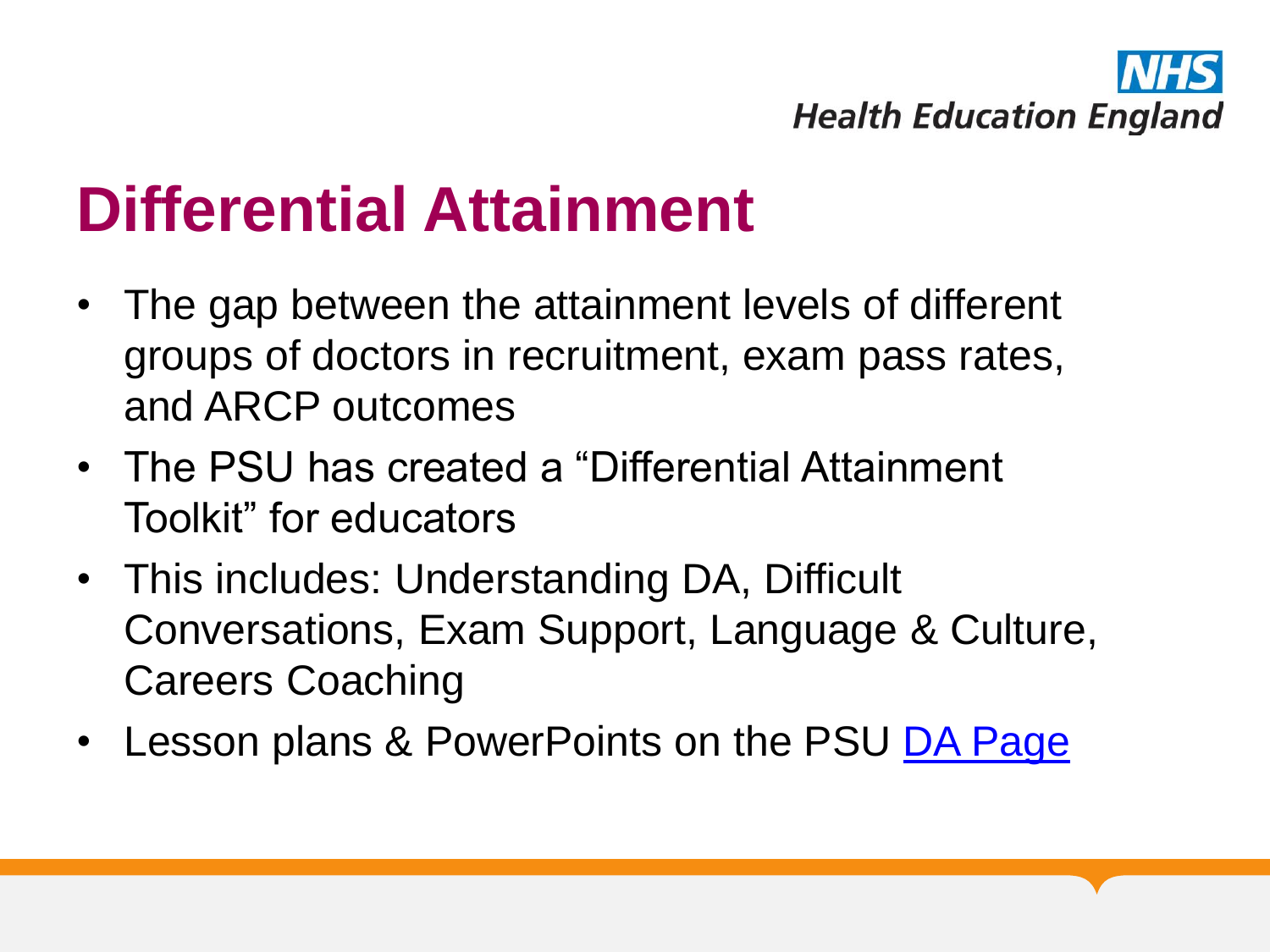

### **Differential Attainment**

- The gap between the attainment levels of different groups of doctors in recruitment, exam pass rates, and ARCP outcomes
- The PSU has created a "Differential Attainment Toolkit" for educators
- This includes: Understanding DA, Difficult Conversations, Exam Support, Language & Culture, Careers Coaching
- Lesson plans & PowerPoints on the PSU [DA Page](https://london.hee.nhs.uk/multiprofessional-faculty-development/differential-attainment)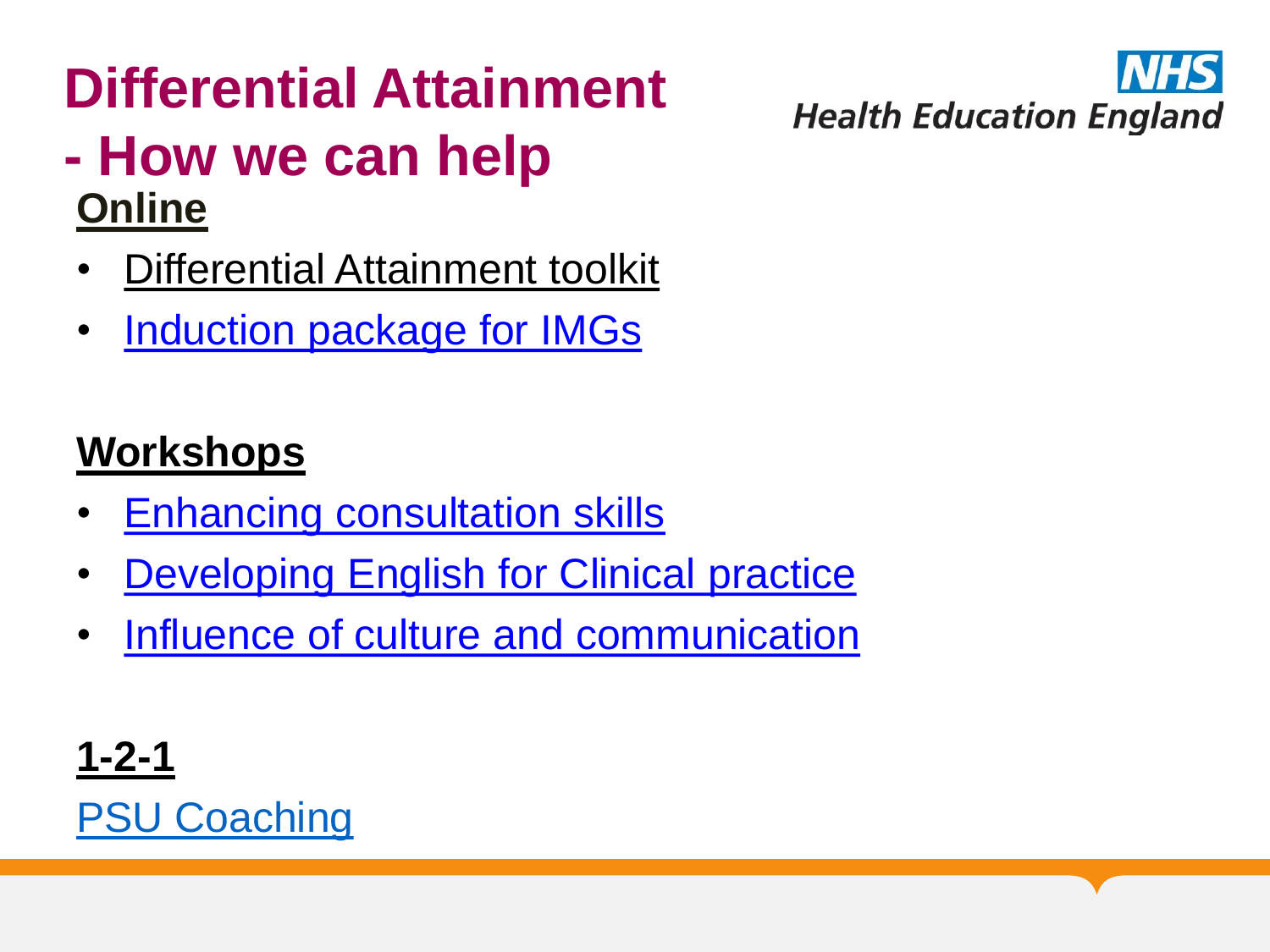### **Differential Attainment - How we can help Online**

- Differential Attainment toolkit
- [Induction package for IMGs](https://london.hee.nhs.uk/professional-development/professional-support-unit/e-learning-support-and-self-review-modules)

### **Workshops**

- [Enhancing consultation skills](https://london.hee.nhs.uk/professional-development/courses-and-conferences)
- [Developing English for Clinical practice](https://london.hee.nhs.uk/professional-development/courses-and-conferences)
- [Influence of culture and communication](https://london.hee.nhs.uk/professional-development/courses-and-conferences)

**[1-2-1](https://london.hee.nhs.uk/professional-development/professional-support-unit/courses-and-conferences)** [PSU Coaching](https://london.hee.nhs.uk/professional-development/coaching-service) **Health Education England**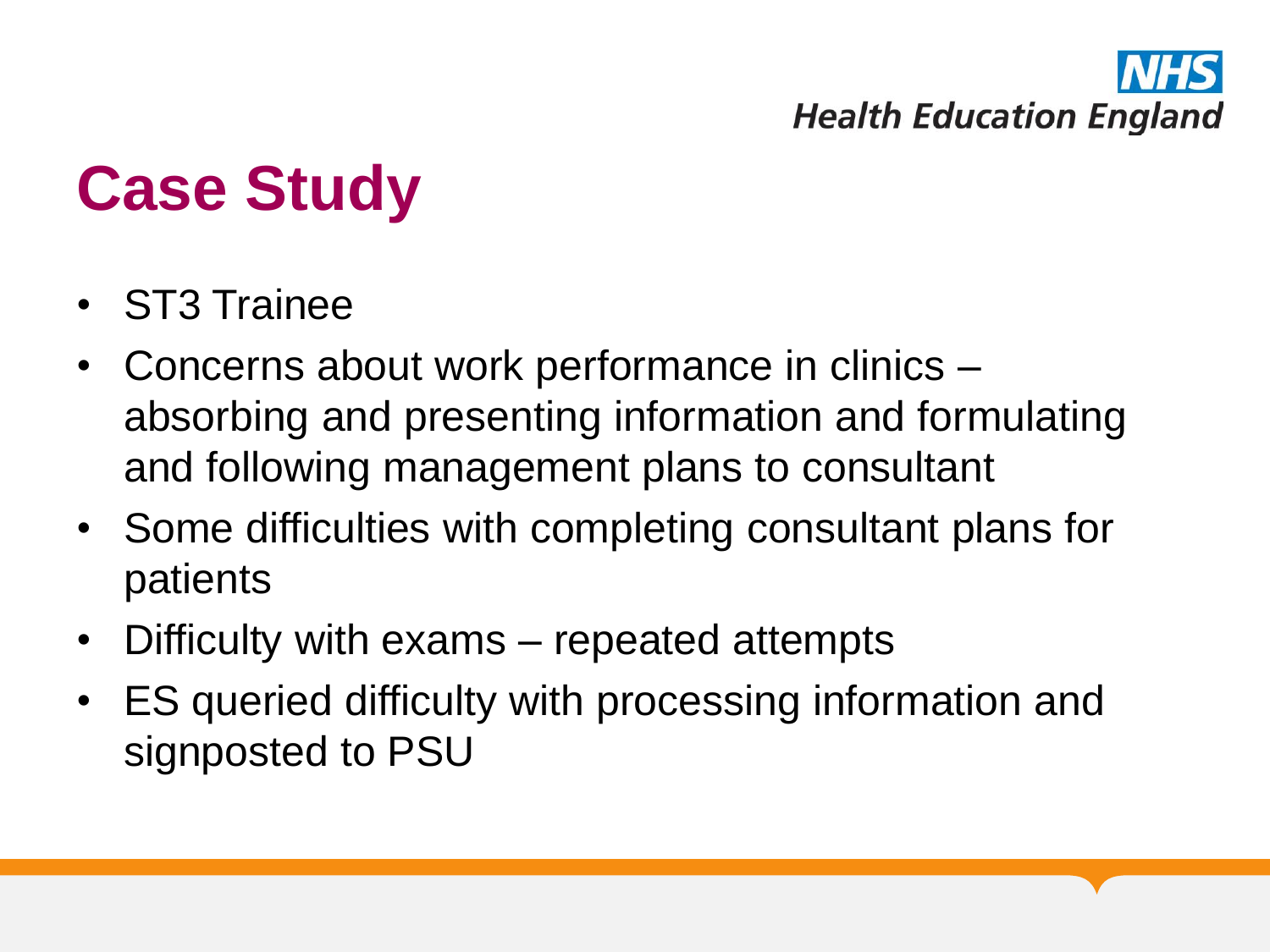# **Health Education England**

# **Case Study**

- ST3 Trainee
- Concerns about work performance in clinics absorbing and presenting information and formulating and following management plans to consultant
- Some difficulties with completing consultant plans for patients
- Difficulty with exams repeated attempts
- ES queried difficulty with processing information and signposted to PSU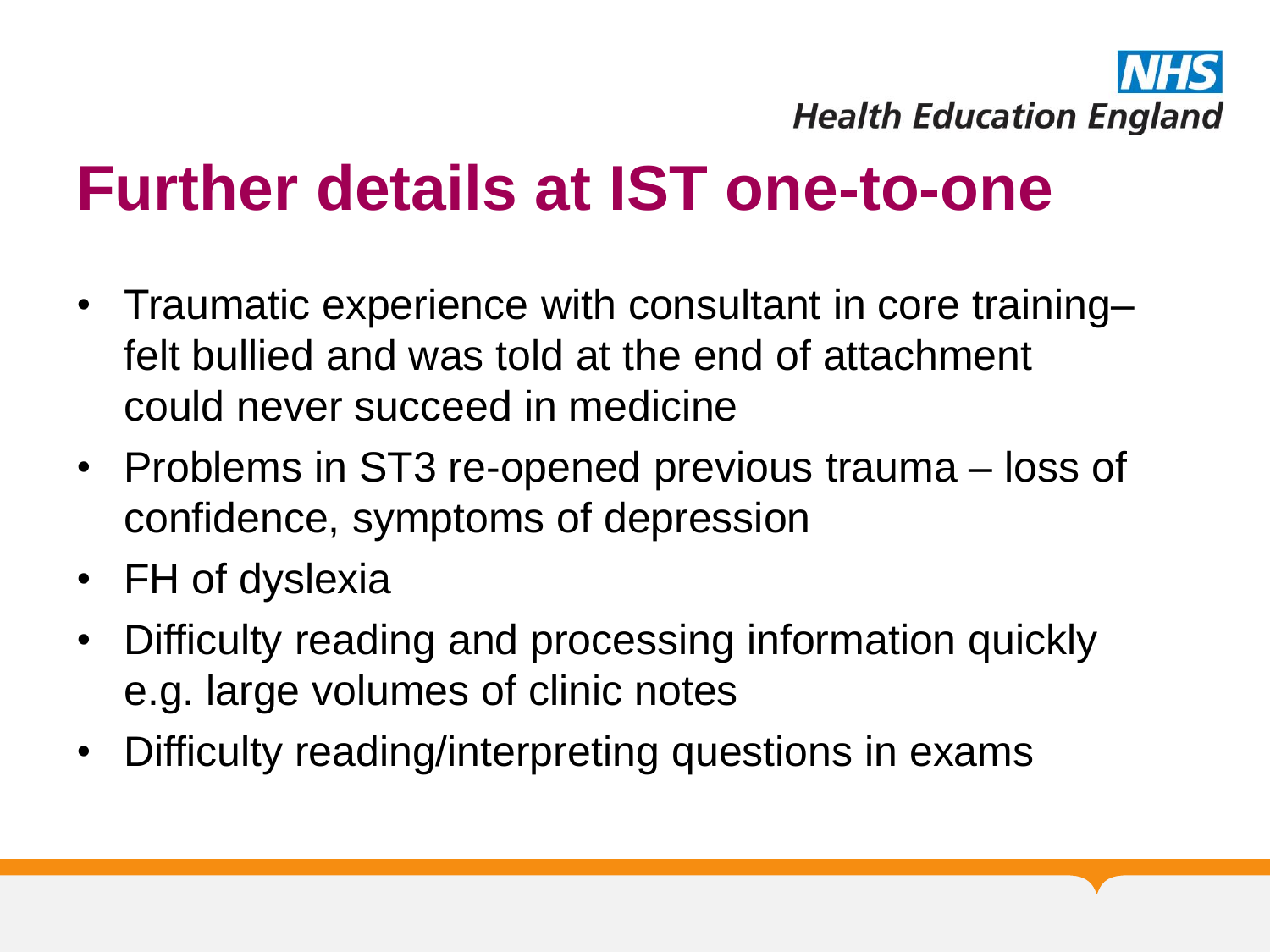

### **Further details at IST one-to-one**

- Traumatic experience with consultant in core training– felt bullied and was told at the end of attachment could never succeed in medicine
- Problems in ST3 re-opened previous trauma loss of confidence, symptoms of depression
- FH of dyslexia
- Difficulty reading and processing information quickly e.g. large volumes of clinic notes
- Difficulty reading/interpreting questions in exams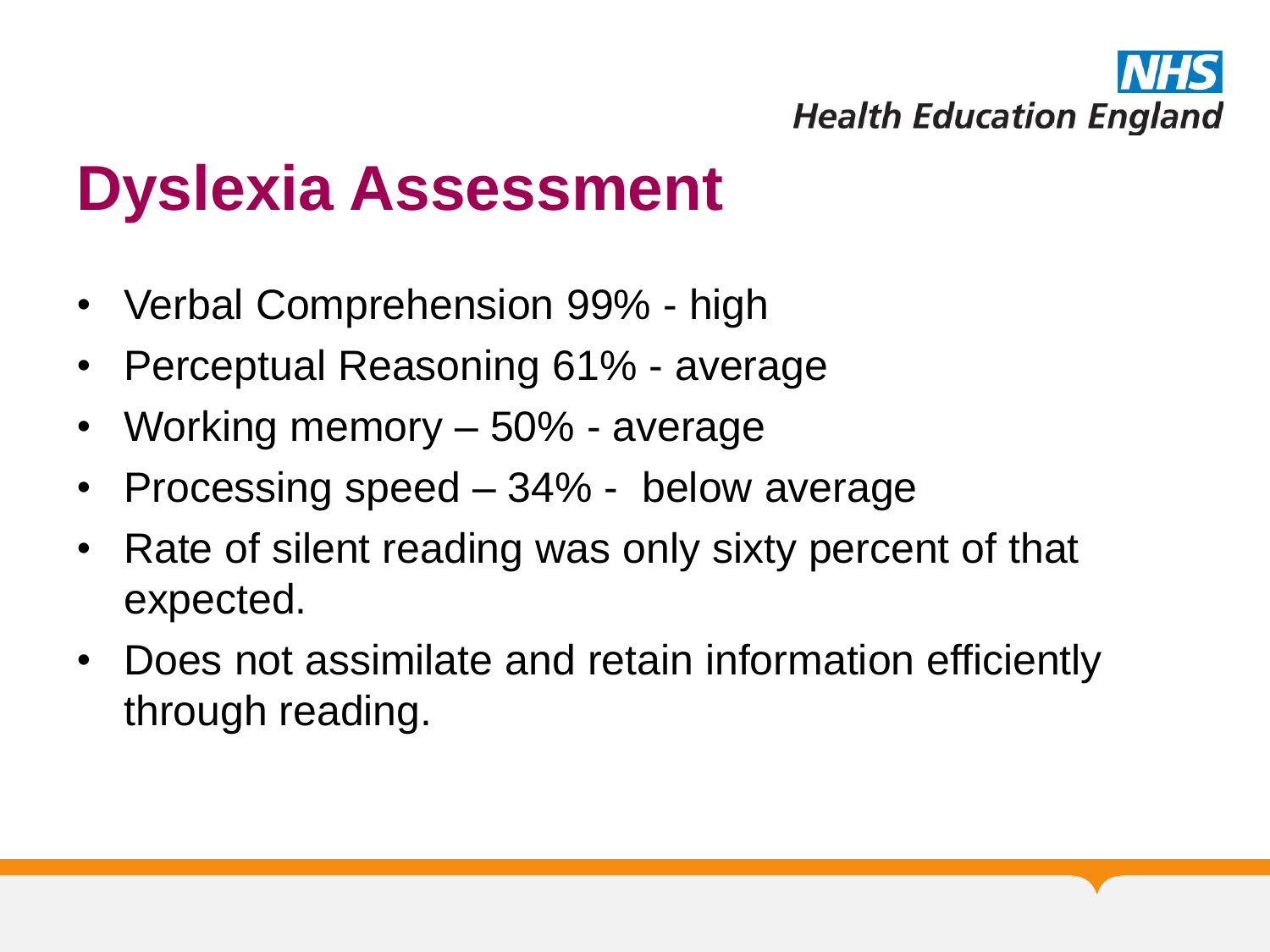

### **Dyslexia Assessment**

- Verbal Comprehension 99% high
- Perceptual Reasoning 61% average
- Working memory 50% average
- Processing speed 34% below average
- Rate of silent reading was only sixty percent of that expected.
- Does not assimilate and retain information efficiently through reading.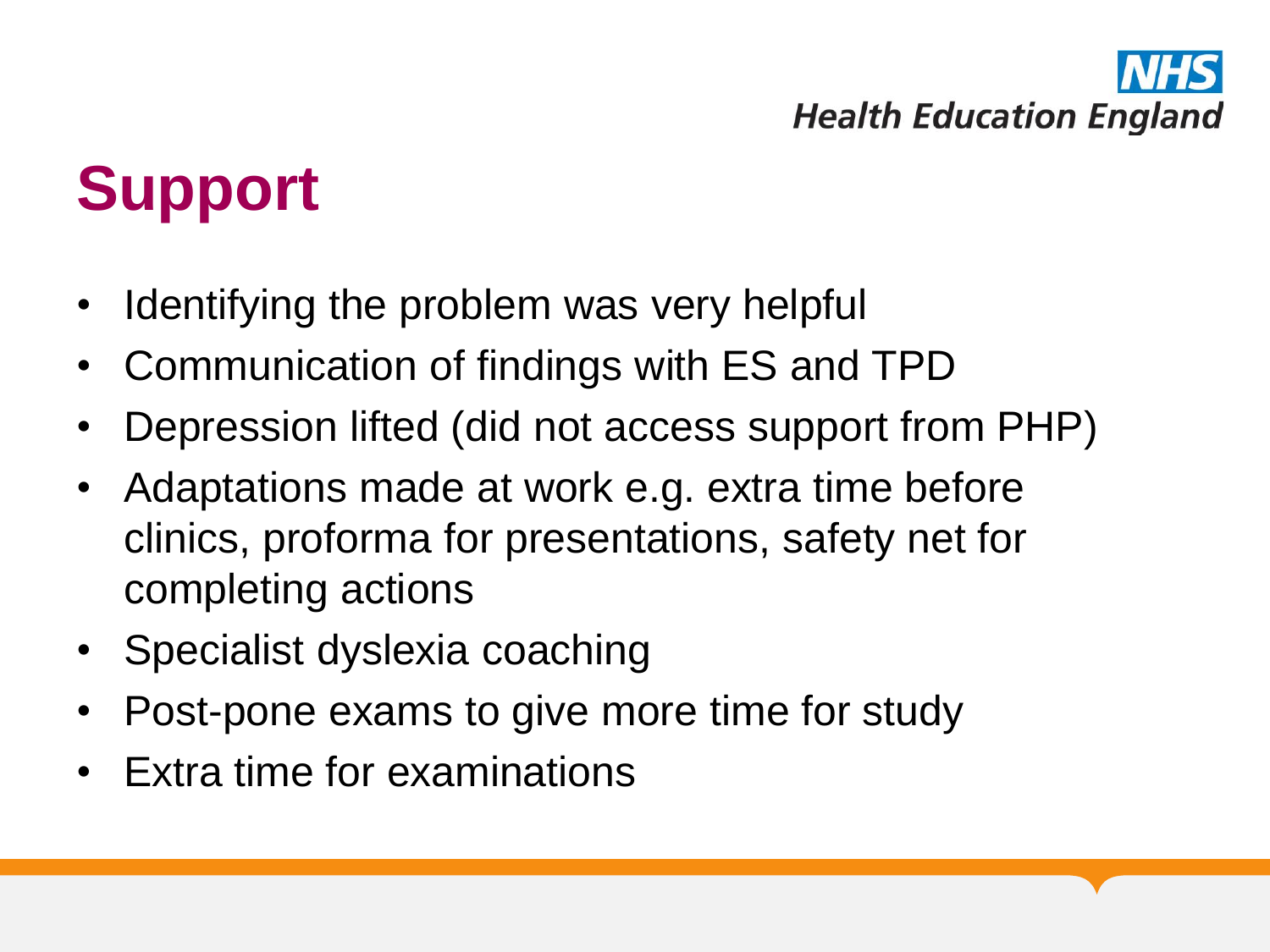

### **Support**

- Identifying the problem was very helpful
- Communication of findings with ES and TPD
- Depression lifted (did not access support from PHP)
- Adaptations made at work e.g. extra time before clinics, proforma for presentations, safety net for completing actions
- Specialist dyslexia coaching
- Post-pone exams to give more time for study
- Extra time for examinations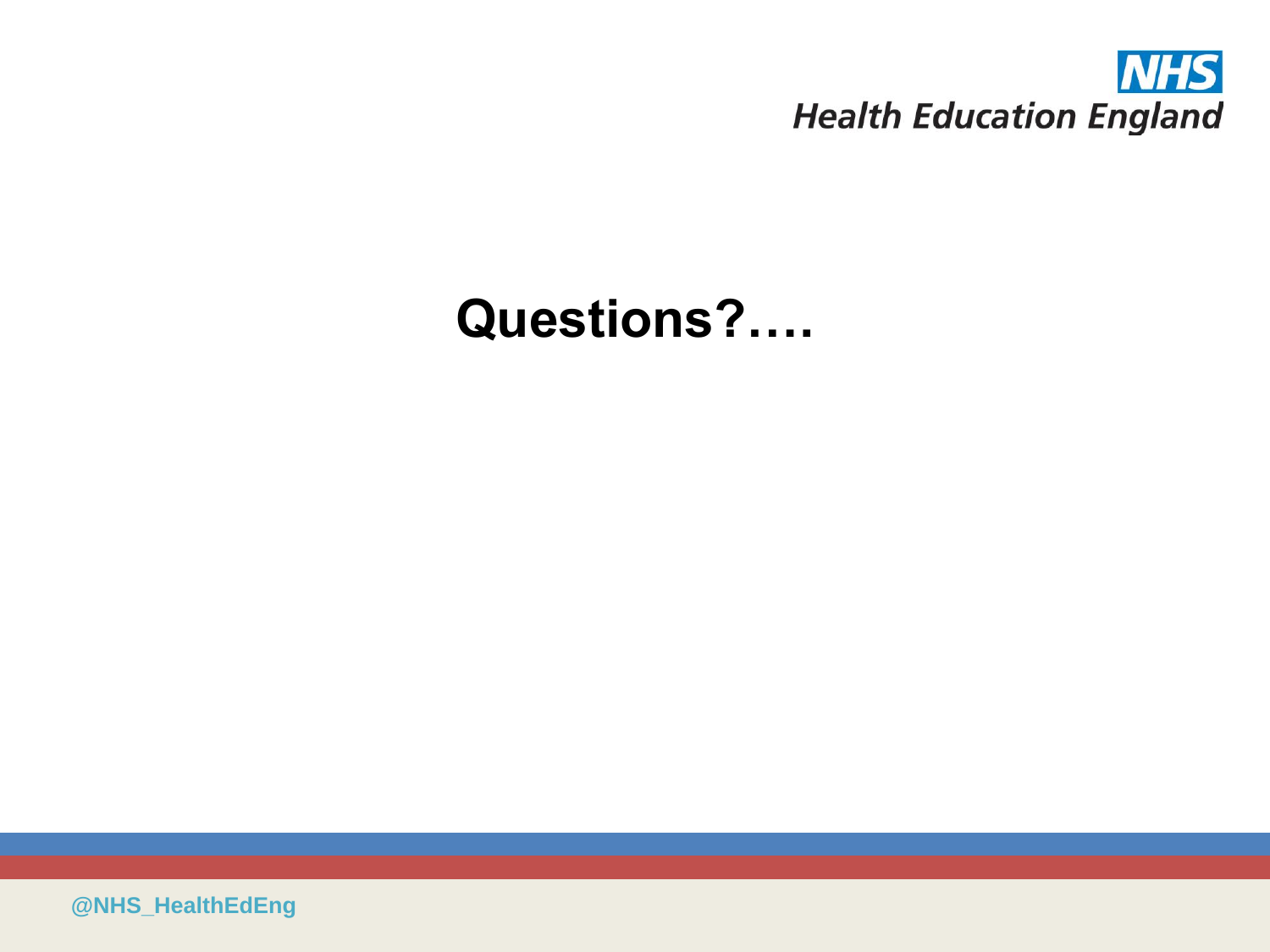

### **Questions?….**

**@NHS\_HealthEdEng**